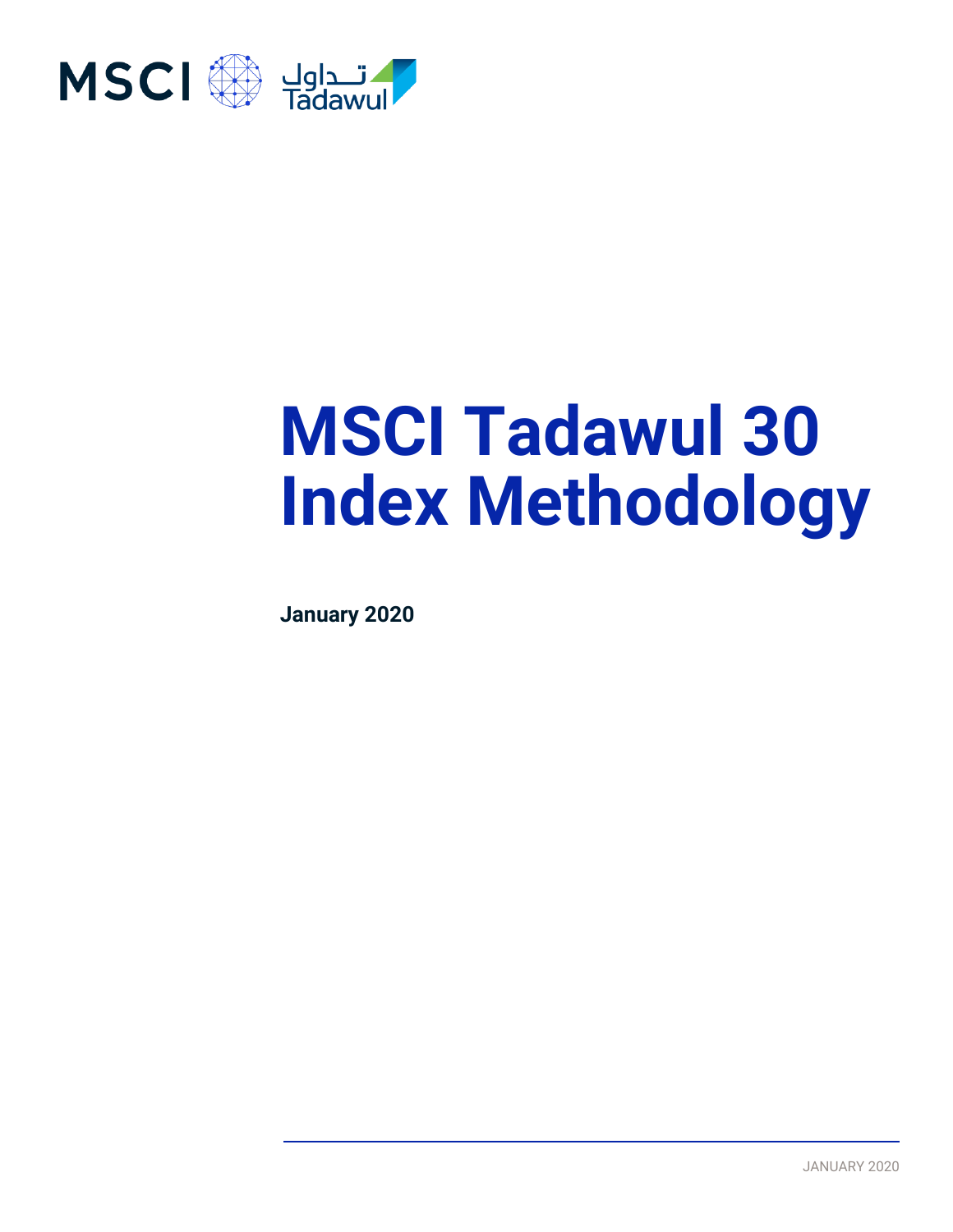

# **MSCI Tadawul 30 Index Methodology**

**January 2020**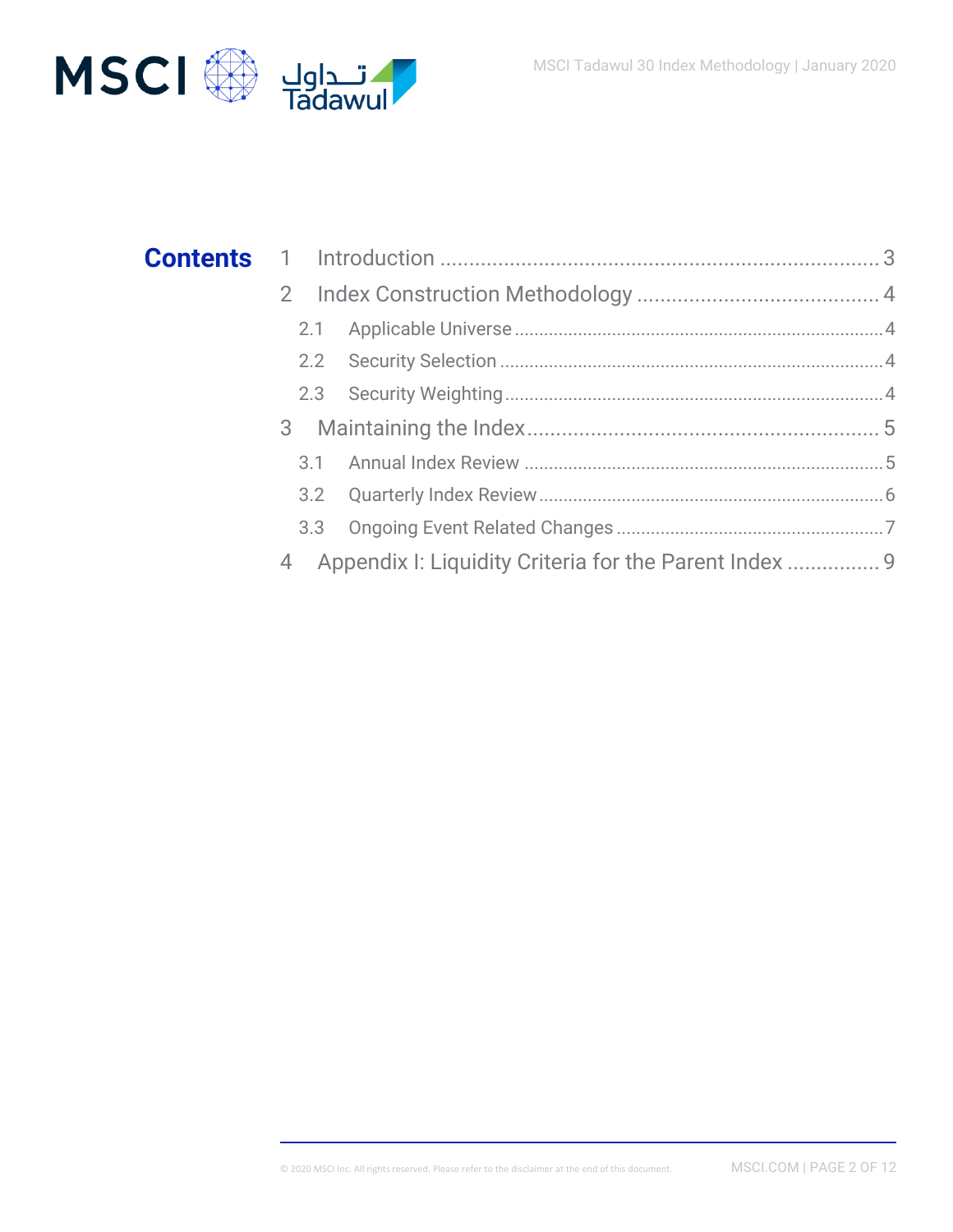

| 2.1 |
|-----|
| 2.2 |
|     |
|     |
| 3.1 |
| 3.2 |
| 3.3 |
| 4   |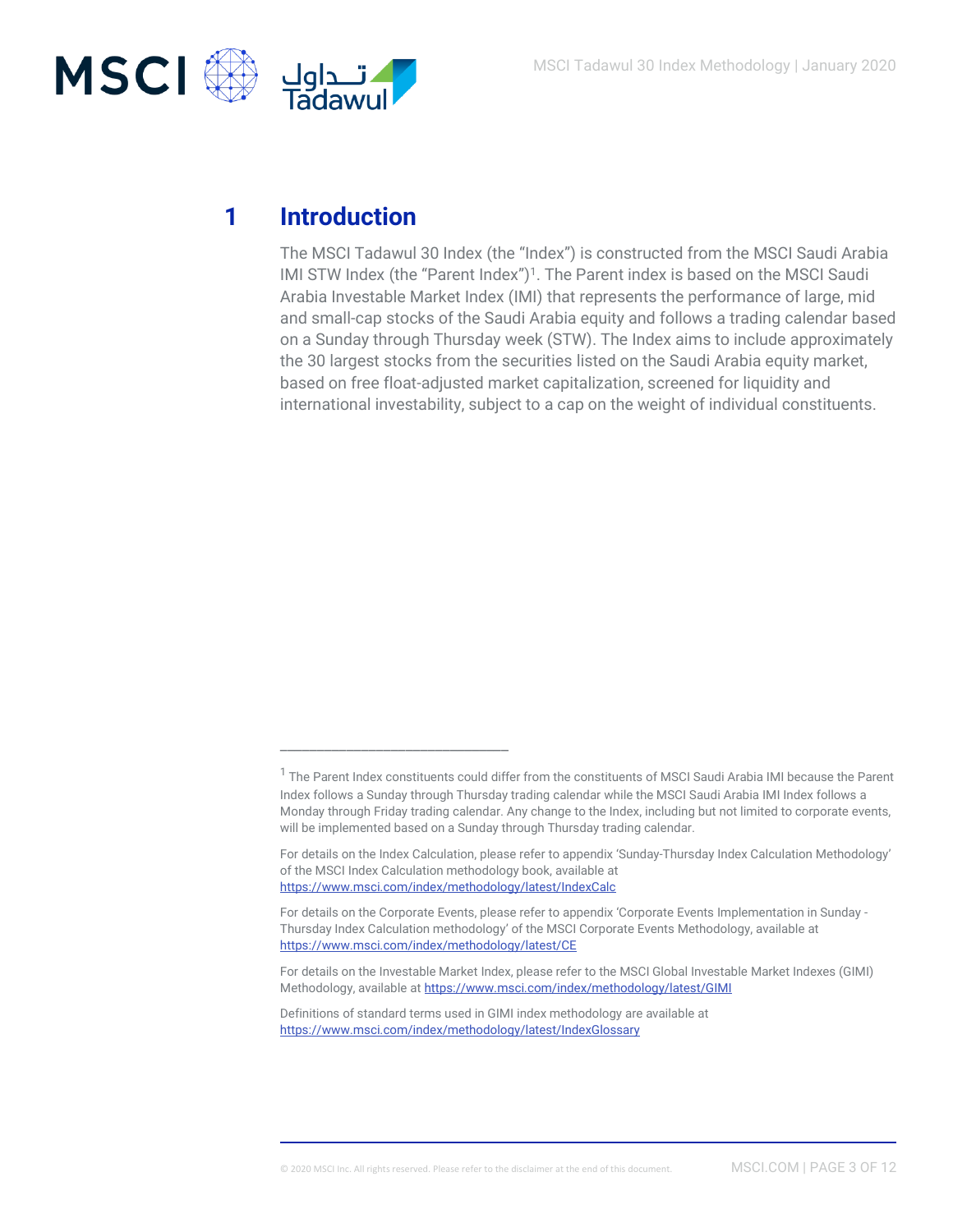

# **1 Introduction**

The MSCI Tadawul 30 Index (the "Index") is constructed from the MSCI Saudi Arabia IMI STW Index (the "Parent Index")<sup>1</sup>. The Parent index is based on the MSCI Saudi Arabia Investable Market Index (IMI) that represents the performance of large, mid and small-cap stocks of the Saudi Arabia equity and follows a trading calendar based on a Sunday through Thursday week (STW). The Index aims to include approximately the 30 largest stocks from the securities listed on the Saudi Arabia equity market, based on free float-adjusted market capitalization, screened for liquidity and international investability, subject to a cap on the weight of individual constituents.

\_\_\_\_\_\_\_\_\_\_\_\_\_\_\_\_\_\_\_\_\_\_\_\_\_\_\_\_\_\_\_

 $^{\text{1}}$  The Parent Index constituents could differ from the constituents of MSCI Saudi Arabia IMI because the Parent Index follows a Sunday through Thursday trading calendar while the MSCI Saudi Arabia IMI Index follows a Monday through Friday trading calendar. Any change to the Index, including but not limited to corporate events, will be implemented based on a Sunday through Thursday trading calendar.

For details on the Index Calculation, please refer to appendix 'Sunday-Thursday Index Calculation Methodology' of the MSCI Index Calculation methodology book, available at <https://www.msci.com/index/methodology/latest/IndexCalc>

For details on the Corporate Events, please refer to appendix 'Corporate Events Implementation in Sunday - Thursday Index Calculation methodology' of the MSCI Corporate Events Methodology, available at <https://www.msci.com/index/methodology/latest/CE>

For details on the Investable Market Index, please refer to the MSCI Global Investable Market Indexes (GIMI) Methodology, available a[t https://www.msci.com/index/methodology/latest/GIMI](https://www.msci.com/index/methodology/latest/GIMI)

Definitions of standard terms used in GIMI index methodology are available at <https://www.msci.com/index/methodology/latest/IndexGlossary>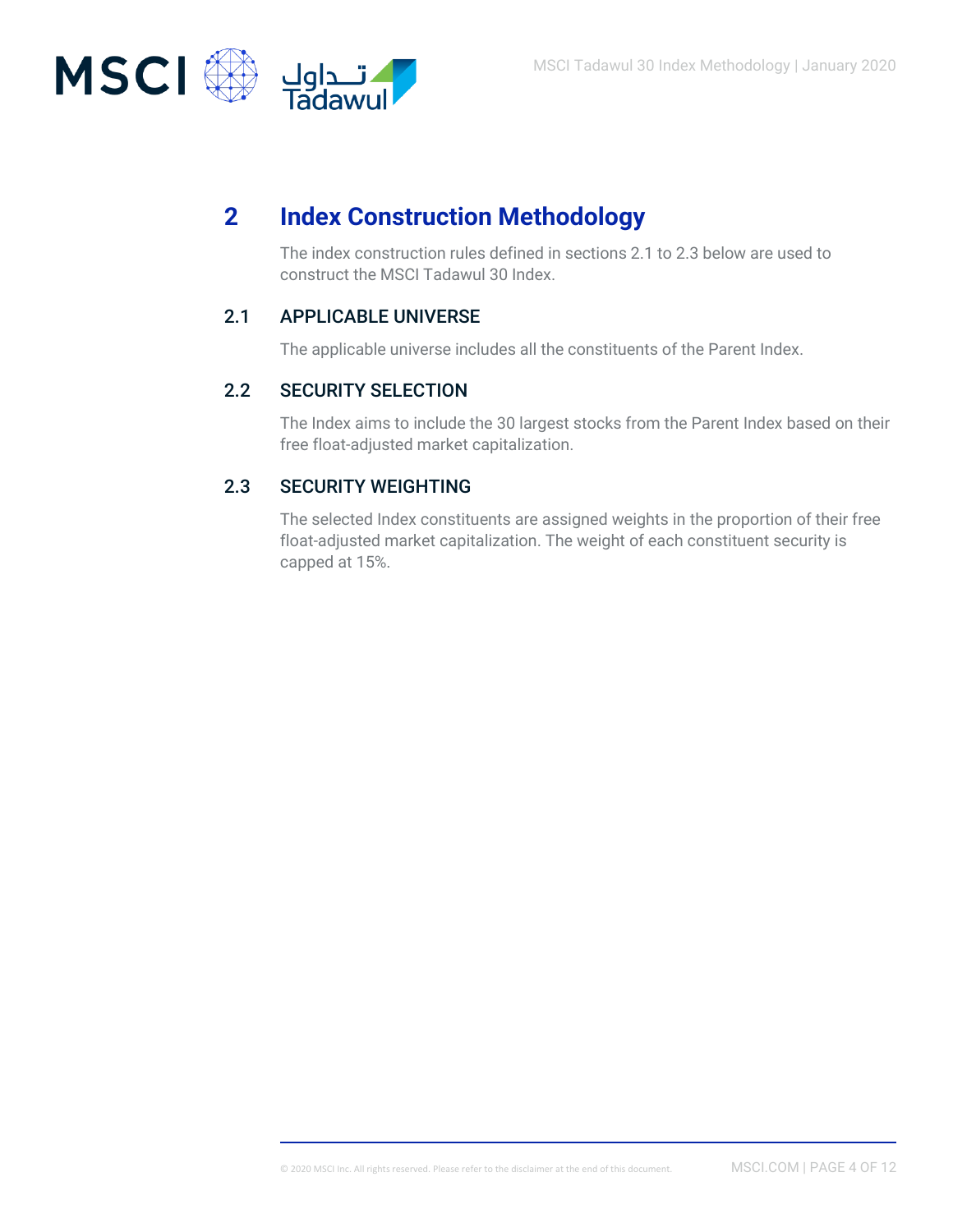

# **2 Index Construction Methodology**

The index construction rules defined in sections 2.1 to 2.3 below are used to construct the MSCI Tadawul 30 Index.

### 2.1 APPLICABLE UNIVERSE

The applicable universe includes all the constituents of the Parent Index.

### 2.2 SECURITY SELECTION

The Index aims to include the 30 largest stocks from the Parent Index based on their free float-adjusted market capitalization.

### 2.3 SECURITY WEIGHTING

The selected Index constituents are assigned weights in the proportion of their free float-adjusted market capitalization. The weight of each constituent security is capped at 15%.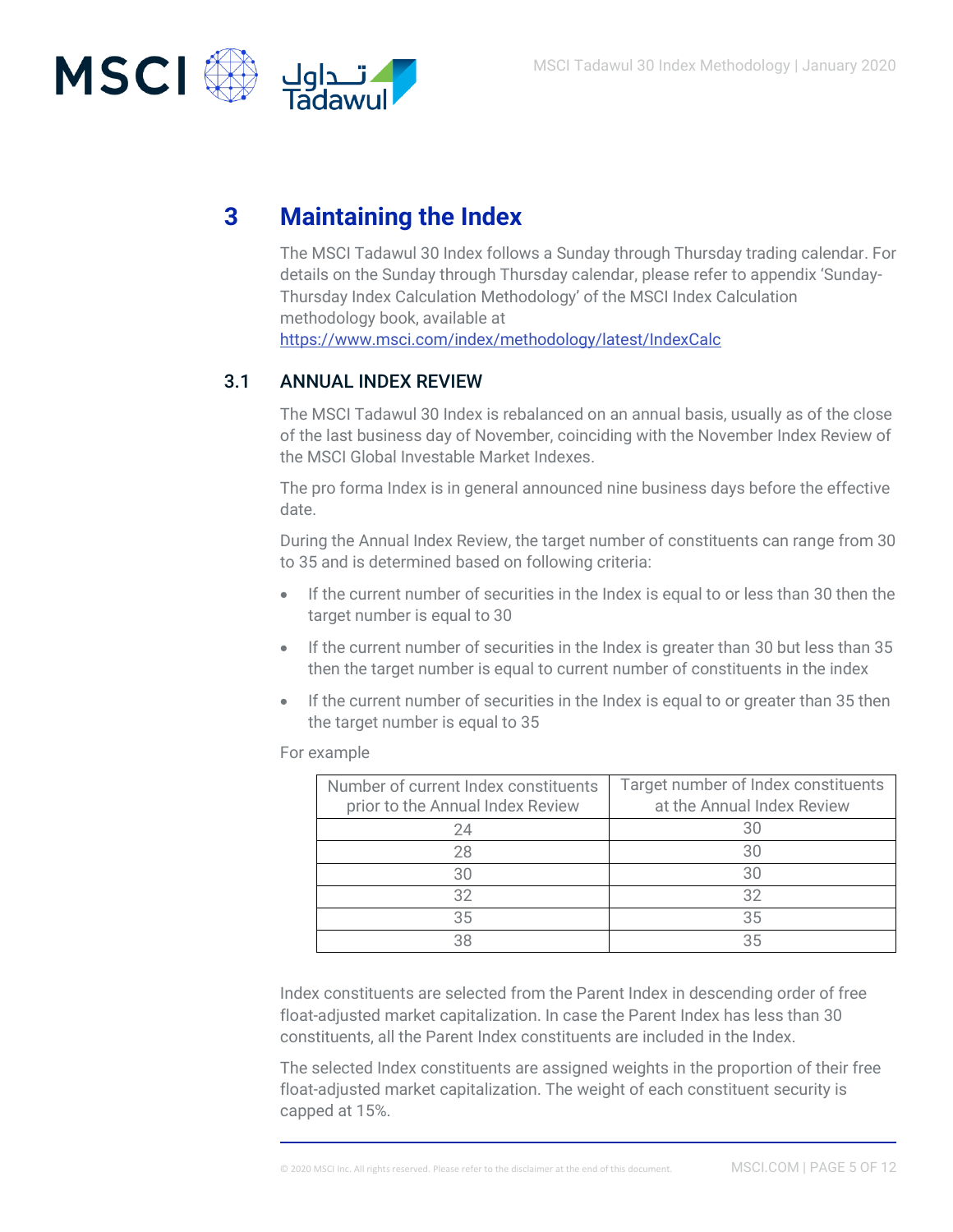

# **3 Maintaining the Index**

The MSCI Tadawul 30 Index follows a Sunday through Thursday trading calendar. For details on the Sunday through Thursday calendar, please refer to appendix 'Sunday-Thursday Index Calculation Methodology' of the MSCI Index Calculation methodology book, available at <https://www.msci.com/index/methodology/latest/IndexCalc>

### 3.1 ANNUAL INDEX REVIEW

The MSCI Tadawul 30 Index is rebalanced on an annual basis, usually as of the close of the last business day of November, coinciding with the November Index Review of the MSCI Global Investable Market Indexes.

The pro forma Index is in general announced nine business days before the effective date.

During the Annual Index Review, the target number of constituents can range from 30 to 35 and is determined based on following criteria:

- If the current number of securities in the Index is equal to or less than 30 then the target number is equal to 30
- If the current number of securities in the Index is greater than 30 but less than 35 then the target number is equal to current number of constituents in the index
- If the current number of securities in the Index is equal to or greater than 35 then the target number is equal to 35

For example

| Number of current Index constituents<br>prior to the Annual Index Review | Target number of Index constituents<br>at the Annual Index Review |
|--------------------------------------------------------------------------|-------------------------------------------------------------------|
| 24                                                                       | 30                                                                |
| 28                                                                       | 30                                                                |
| 30                                                                       | 30                                                                |
| 32                                                                       | 32                                                                |
| 35                                                                       | 35                                                                |
|                                                                          | 35                                                                |

Index constituents are selected from the Parent Index in descending order of free float-adjusted market capitalization. In case the Parent Index has less than 30 constituents, all the Parent Index constituents are included in the Index.

The selected Index constituents are assigned weights in the proportion of their free float-adjusted market capitalization. The weight of each constituent security is capped at 15%.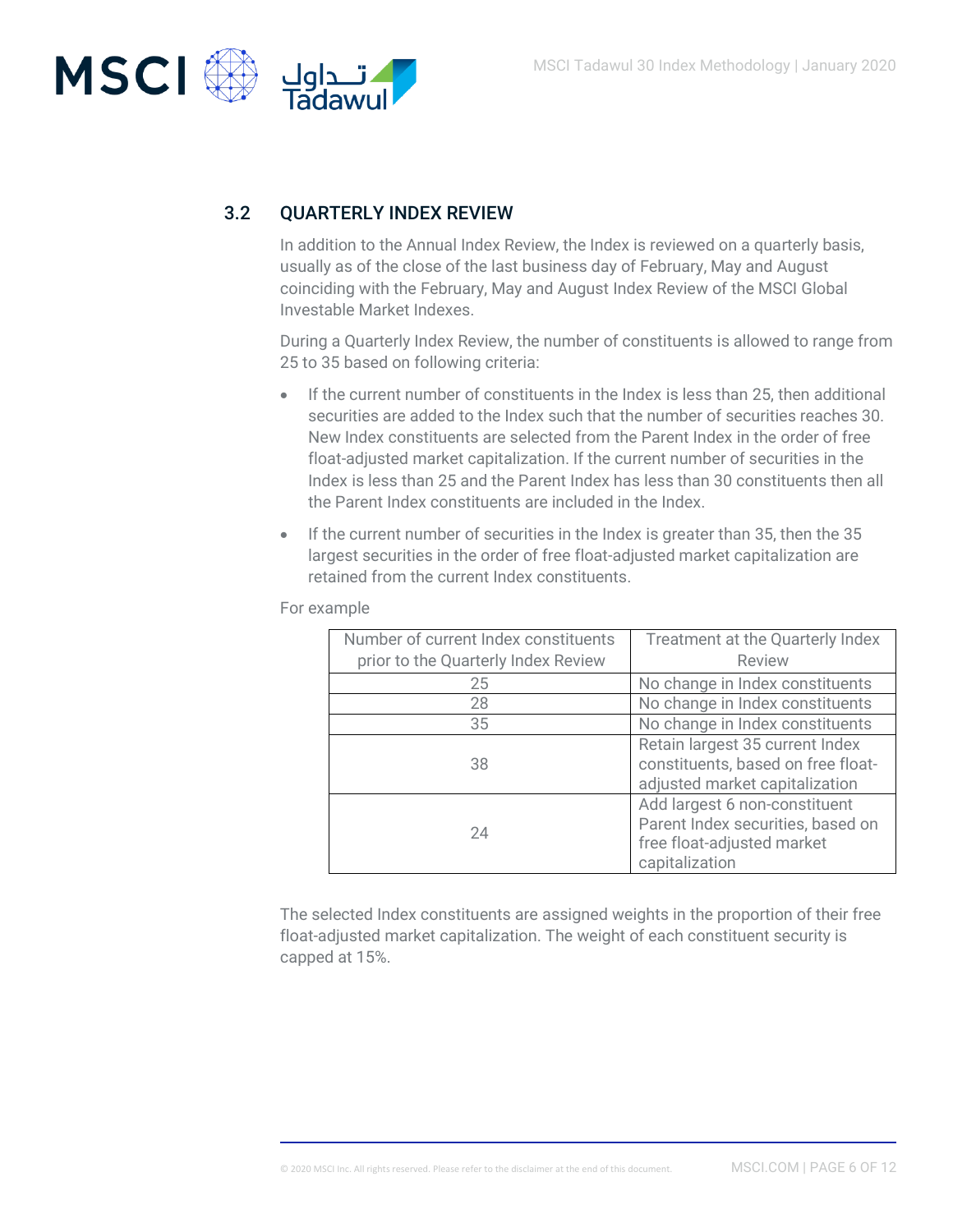

### 3.2 QUARTERLY INDEX REVIEW

In addition to the Annual Index Review, the Index is reviewed on a quarterly basis, usually as of the close of the last business day of February, May and August coinciding with the February, May and August Index Review of the MSCI Global Investable Market Indexes.

During a Quarterly Index Review, the number of constituents is allowed to range from 25 to 35 based on following criteria:

- If the current number of constituents in the Index is less than 25, then additional securities are added to the Index such that the number of securities reaches 30. New Index constituents are selected from the Parent Index in the order of free float-adjusted market capitalization. If the current number of securities in the Index is less than 25 and the Parent Index has less than 30 constituents then all the Parent Index constituents are included in the Index.
- If the current number of securities in the Index is greater than 35, then the 35 largest securities in the order of free float-adjusted market capitalization are retained from the current Index constituents.

For example

| Number of current Index constituents | Treatment at the Quarterly Index                                                                                   |
|--------------------------------------|--------------------------------------------------------------------------------------------------------------------|
| prior to the Quarterly Index Review  | <b>Review</b>                                                                                                      |
| 25                                   | No change in Index constituents                                                                                    |
| 28                                   | No change in Index constituents                                                                                    |
| 35                                   | No change in Index constituents                                                                                    |
| 38                                   | Retain largest 35 current Index<br>constituents, based on free float-<br>adjusted market capitalization            |
| 24                                   | Add largest 6 non-constituent<br>Parent Index securities, based on<br>free float-adjusted market<br>capitalization |

The selected Index constituents are assigned weights in the proportion of their free float-adjusted market capitalization. The weight of each constituent security is capped at 15%.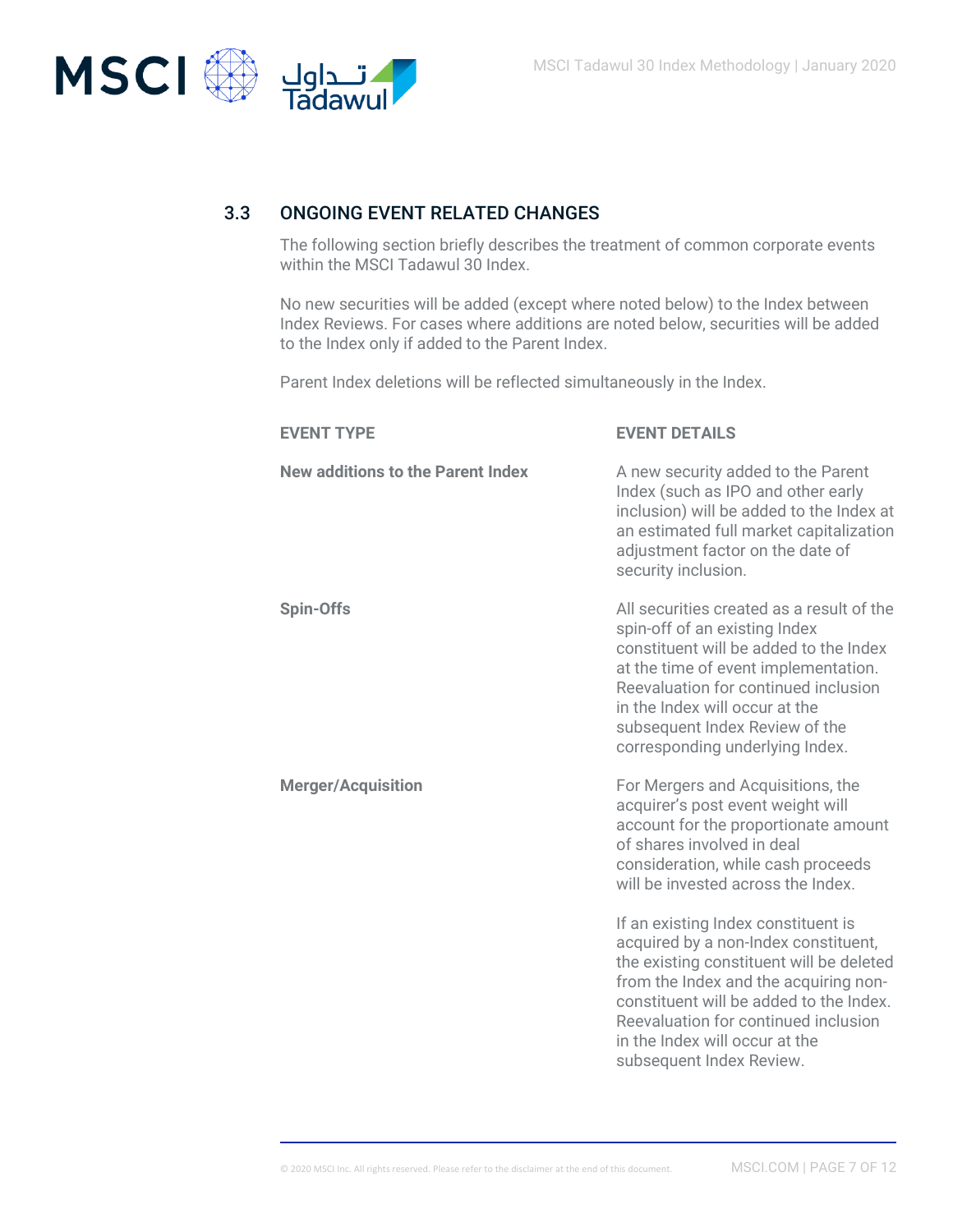

### 3.3 ONGOING EVENT RELATED CHANGES

The following section briefly describes the treatment of common corporate events within the MSCI Tadawul 30 Index.

No new securities will be added (except where noted below) to the Index between Index Reviews. For cases where additions are noted below, securities will be added to the Index only if added to the Parent Index.

Parent Index deletions will be reflected simultaneously in the Index.

| <b>EVENT TYPE</b>                        | <b>EVENT DETAILS</b>                                                                                                                                                                                                                                                                                              |
|------------------------------------------|-------------------------------------------------------------------------------------------------------------------------------------------------------------------------------------------------------------------------------------------------------------------------------------------------------------------|
| <b>New additions to the Parent Index</b> | A new security added to the Parent<br>Index (such as IPO and other early<br>inclusion) will be added to the Index at<br>an estimated full market capitalization<br>adjustment factor on the date of<br>security inclusion.                                                                                        |
| <b>Spin-Offs</b>                         | All securities created as a result of the<br>spin-off of an existing Index<br>constituent will be added to the Index<br>at the time of event implementation.<br>Reevaluation for continued inclusion<br>in the Index will occur at the<br>subsequent Index Review of the<br>corresponding underlying Index.       |
| <b>Merger/Acquisition</b>                | For Mergers and Acquisitions, the<br>acquirer's post event weight will<br>account for the proportionate amount<br>of shares involved in deal<br>consideration, while cash proceeds<br>will be invested across the Index.                                                                                          |
|                                          | If an existing Index constituent is<br>acquired by a non-Index constituent,<br>the existing constituent will be deleted<br>from the Index and the acquiring non-<br>constituent will be added to the Index.<br>Reevaluation for continued inclusion<br>in the Index will occur at the<br>subsequent Index Review. |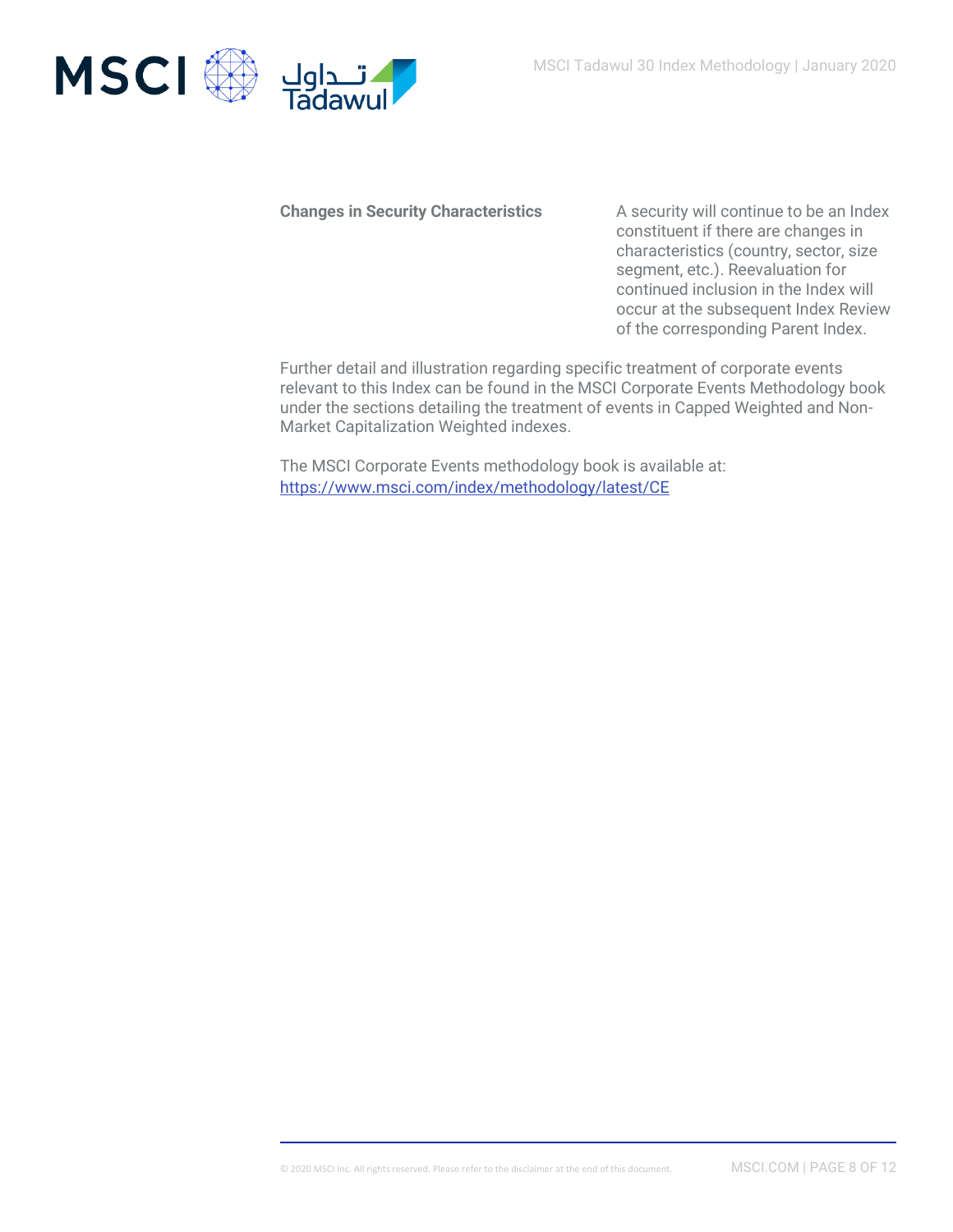

**Changes in Security Characteristics** A security will continue to be an Index constituent if there are changes in characteristics (country, sector, size segment, etc.). Reevaluation for continued inclusion in the Index will occur at the subsequent Index Review of the corresponding Parent Index.

Further detail and illustration regarding specific treatment of corporate events relevant to this Index can be found in the MSCI Corporate Events Methodology book under the sections detailing the treatment of events in Capped Weighted and Non-Market Capitalization Weighted indexes.

The MSCI Corporate Events methodology book is available at: <https://www.msci.com/index/methodology/latest/CE>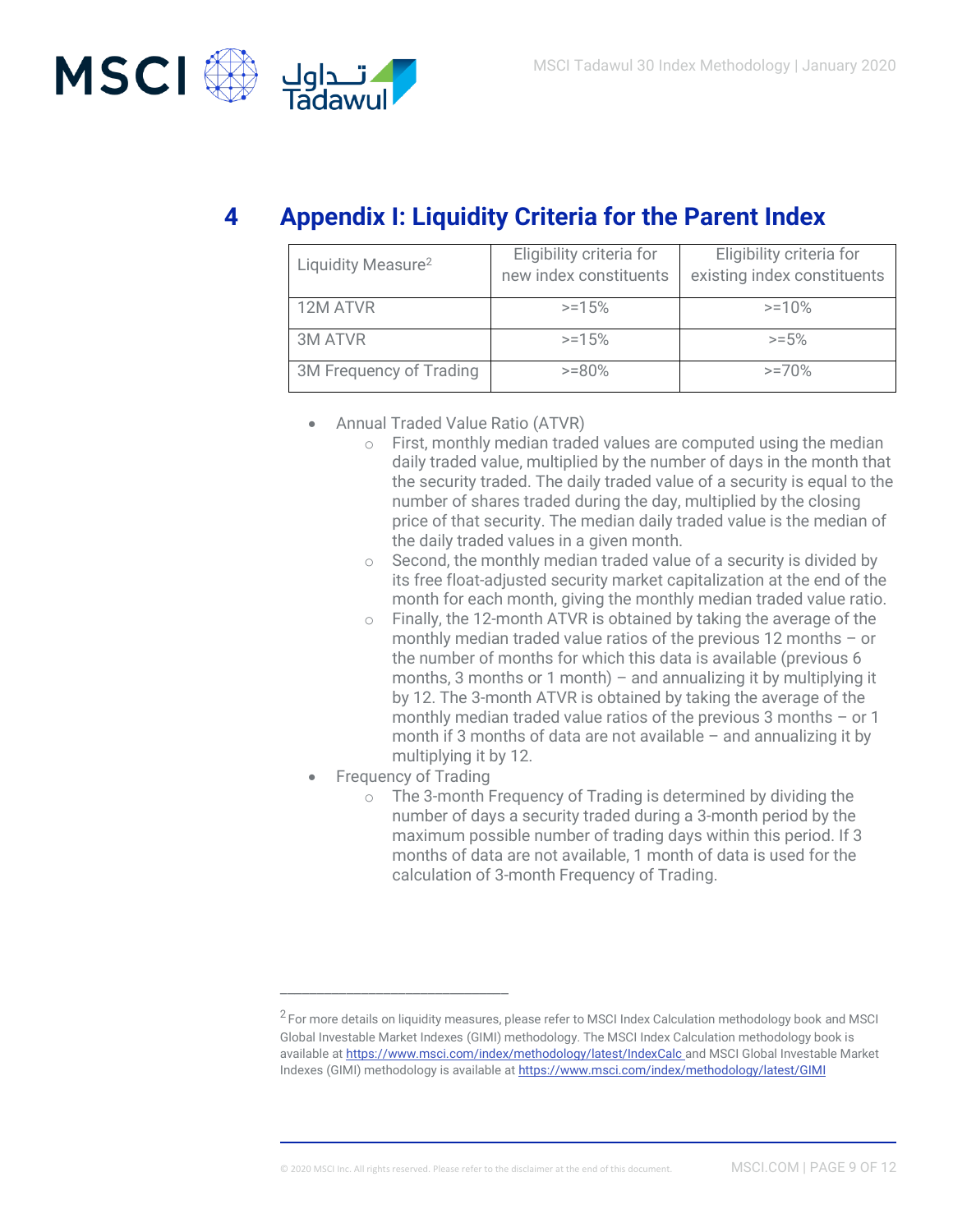

# **4 Appendix I: Liquidity Criteria for the Parent Index**

| Liquidity Measure <sup>2</sup> | Eligibility criteria for<br>new index constituents | Eligibility criteria for<br>existing index constituents |
|--------------------------------|----------------------------------------------------|---------------------------------------------------------|
| 12M ATVR                       | $>=15%$                                            | $>=10%$                                                 |
| <b>3M ATVR</b>                 | $>=15%$                                            | $>= 5%$                                                 |
| 3M Frequency of Trading        | $>= 80%$                                           | $>=70%$                                                 |

- Annual Traded Value Ratio (ATVR)
	- $\circ$  First, monthly median traded values are computed using the median daily traded value, multiplied by the number of days in the month that the security traded. The daily traded value of a security is equal to the number of shares traded during the day, multiplied by the closing price of that security. The median daily traded value is the median of the daily traded values in a given month.
	- $\circ$  Second, the monthly median traded value of a security is divided by its free float-adjusted security market capitalization at the end of the month for each month, giving the monthly median traded value ratio.
	- $\circ$  Finally, the 12-month ATVR is obtained by taking the average of the monthly median traded value ratios of the previous 12 months – or the number of months for which this data is available (previous 6 months, 3 months or 1 month) – and annualizing it by multiplying it by 12. The 3-month ATVR is obtained by taking the average of the monthly median traded value ratios of the previous 3 months – or 1 month if 3 months of data are not available – and annualizing it by multiplying it by 12.
- Frequency of Trading

\_\_\_\_\_\_\_\_\_\_\_\_\_\_\_\_\_\_\_\_\_\_\_\_\_\_\_\_\_\_\_

o The 3-month Frequency of Trading is determined by dividing the number of days a security traded during a 3-month period by the maximum possible number of trading days within this period. If 3 months of data are not available, 1 month of data is used for the calculation of 3-month Frequency of Trading.

 $^2$  For more details on liquidity measures, please refer to MSCI Index Calculation methodology book and MSCI Global Investable Market Indexes (GIMI) methodology. The MSCI Index Calculation methodology book is available a[t https://www.msci.com/index/methodology/latest/IndexCalc](https://www.msci.com/index/methodology/latest/IndexCalc) and MSCI Global Investable Market Indexes (GIMI) methodology is available a[t https://www.msci.com/index/methodology/latest/GIMI](https://www.msci.com/index/methodology/latest/GIMI)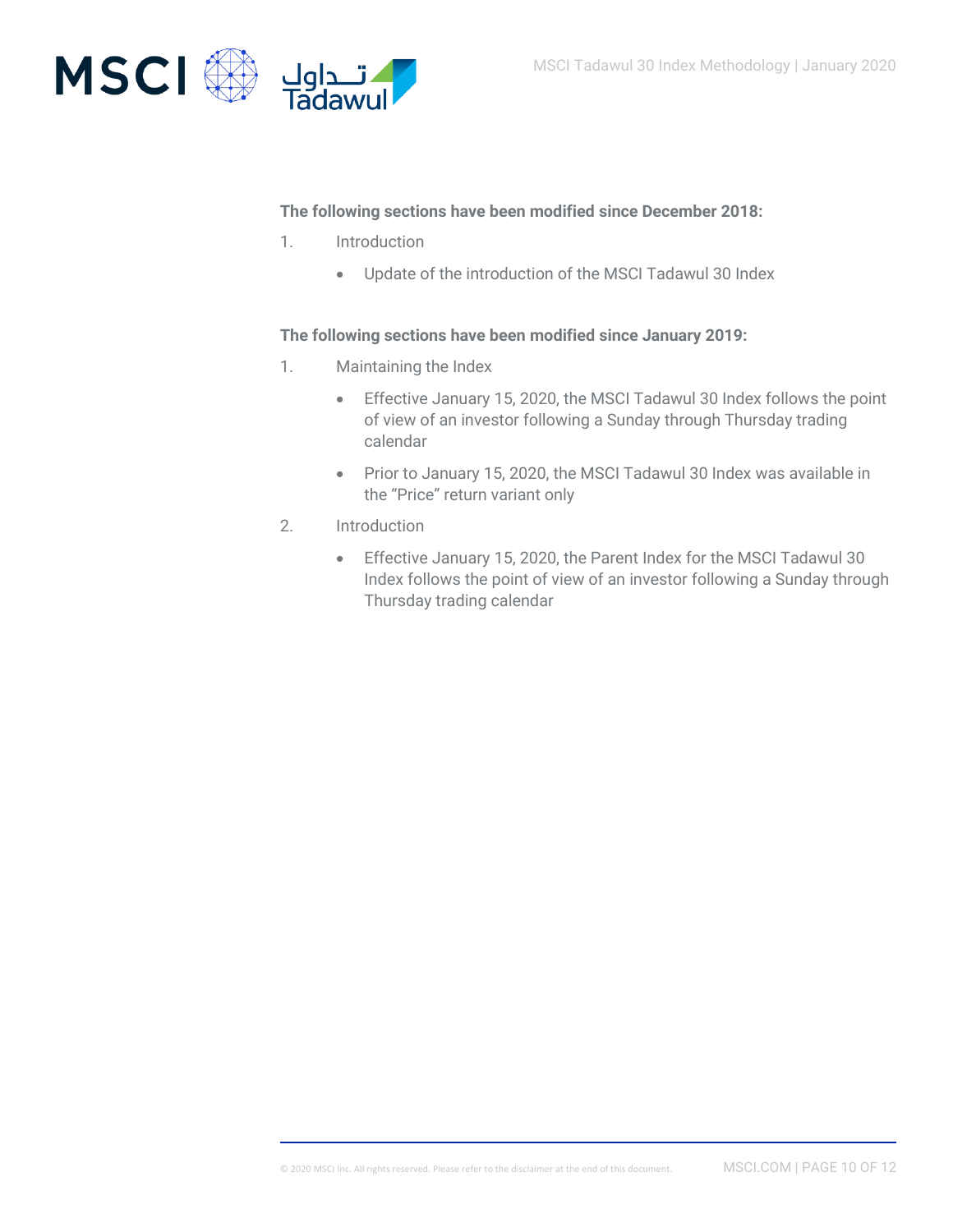

### **The following sections have been modified since December 2018:**

- 1. Introduction
	- Update of the introduction of the MSCI Tadawul 30 Index

### **The following sections have been modified since January 2019:**

- 1. Maintaining the Index
	- Effective January 15, 2020, the MSCI Tadawul 30 Index follows the point of view of an investor following a Sunday through Thursday trading calendar
	- Prior to January 15, 2020, the MSCI Tadawul 30 Index was available in the "Price" return variant only
- 2. Introduction
	- Effective January 15, 2020, the Parent Index for the MSCI Tadawul 30 Index follows the point of view of an investor following a Sunday through Thursday trading calendar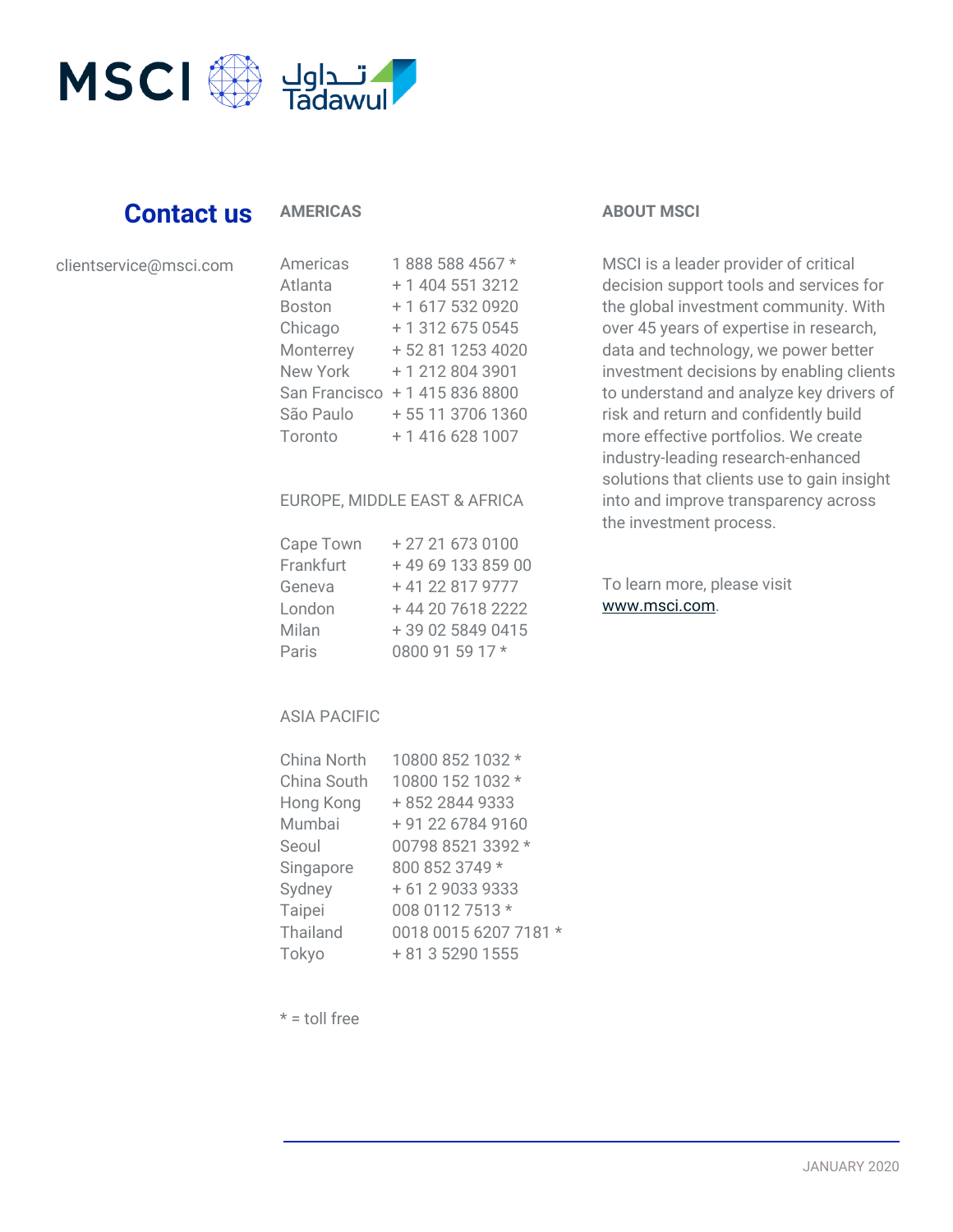

# **Contact us**

### **AMERICAS**

| clientservice@msci.com |  |  |
|------------------------|--|--|
|                        |  |  |

| Americas        | 1888 588 4567 *  |
|-----------------|------------------|
| Atlanta         | + 1 404 551 3212 |
| <b>Boston</b>   | +1 617 532 0920  |
| Chicago         | + 1 312 675 0545 |
| Monterrey       | +52 81 1253 4020 |
| <b>New York</b> | +12128043901     |
| San Francisco   | + 1 415 836 8800 |
| São Paulo       | +55 11 3706 1360 |
| Toronto         | +1 416 628 1007  |

### EUROPE, MIDDLE EAST & AFRICA

| Cape Town | +27216730100     |
|-----------|------------------|
| Frankfurt | +496913385900    |
| Geneva    | +41 22 817 9777  |
| London    | +44 20 7618 2222 |
| Milan     | +39 02 5849 0415 |
| Paris     | 0800 91 59 17 *  |

### **ABOUT MSCI**

MSCI is a leader provider of critical decision support tools and services for the global investment community. With over 45 years of expertise in research, data and technology, we power better investment decisions by enabling clients to understand and analyze key drivers of risk and return and confidently build more effective portfolios. We create industry-leading research-enhanced solutions that clients use to gain insight into and improve transparency across the investment process.

To learn more, please visit [www.msci.com.](https://www.msci.com/)

### ASIA PACIFIC

| China North     | 10800 852 1032 *      |
|-----------------|-----------------------|
| China South     | 10800 152 1032 *      |
| Hong Kong       | +852 2844 9333        |
| Mumbai          | + 91 22 6784 9160     |
| Seoul           | 00798 8521 3392 *     |
| Singapore       | 800 852 3749 *        |
| Sydney          | + 61 2 9033 9333      |
| Taipei          | 008 0112 7513 *       |
| <b>Thailand</b> | 0018 0015 6207 7181 * |
| Tokyo           | + 81 3 5290 1555      |

 $* =$  toll free